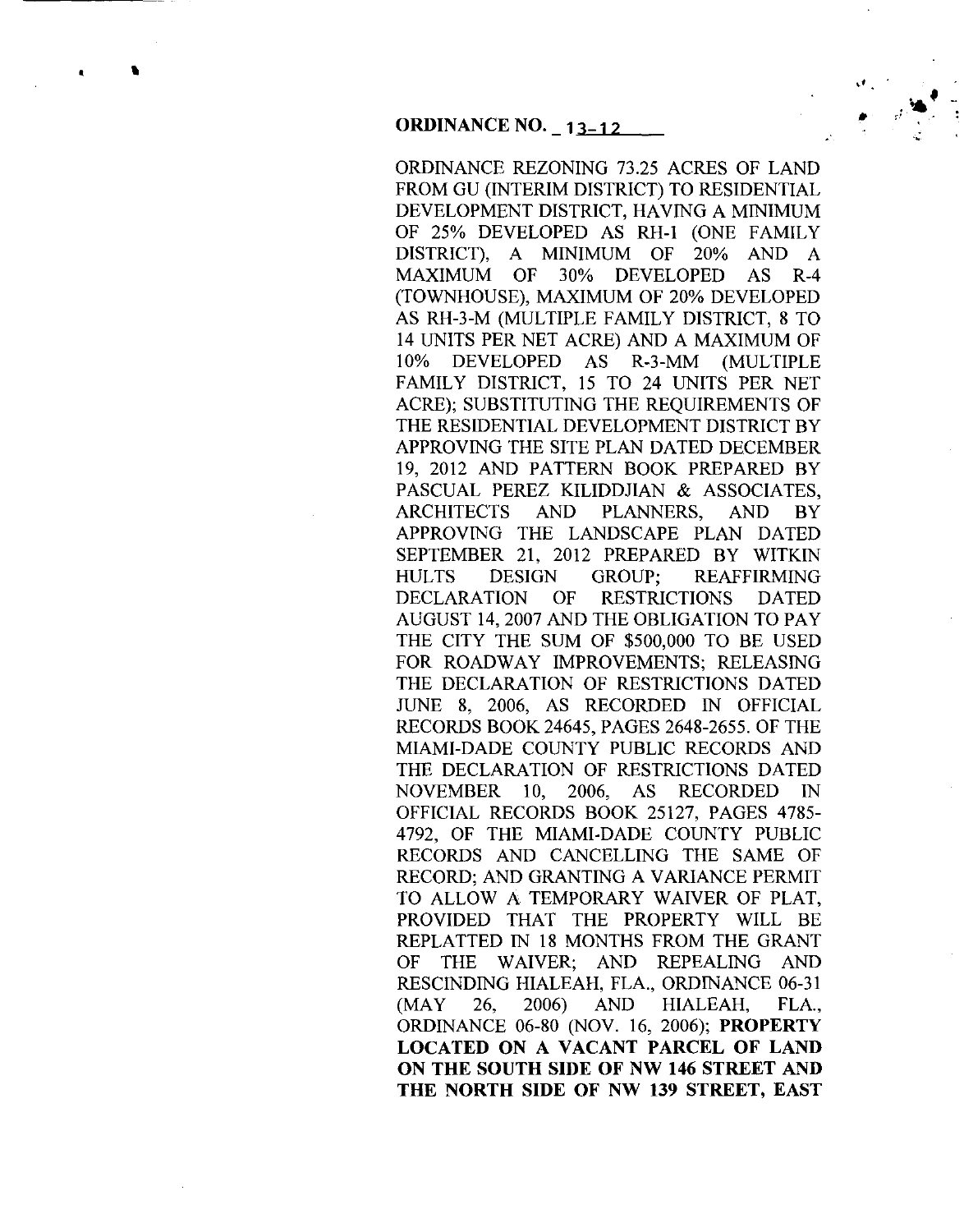$\mathbf{r}$ 

•

ORDINANCE REZONING 73.25 ACRES OF LAND FROM GU (INTERIM DISTRICT) TO RESIDENTIAL DEVELOPMENT DISTRICT, HAVING A MINIMUM OF 25% DEVELOPED AS RH-1 (ONE FAMILY DISTRICT), A MINIMUM OF 20% AND A MAXIMUM OF 30% DEVELOPED AS R-4 (TOWNHOUSE), MAXIMUM OF 20% DEVELOPED AS RH-3-M (MULTIPLE FAMILY DISTRICT, 8 TO 14 UNITS PER NET ACRE) AND A MAXIMUM OF 10% DEVELOPED AS R-3-MM (MULTIPLE FAMILY DISTRICT, 15 TO 24 UNITS PER NET ACRE); SUBSTITUTING THE REQUIREMENTS OF THE RESIDENTIAL DEVELOPMENT DISTRICT BY APPROVING THE SITE PLAN DATED DECEMBER 19, 2012 AND PATTERN BOOK PREPARED BY PASCUAL PEREZ KILIDDJIAN & ASSOCIATES, ARCHITECTS AND PLANNERS, AND BY APPROVING THE LANDSCAPE PLAN DATED SEPTEMBER 21, 2012 PREPARED BY WITKIN HULTS DESIGN GROUP; REAFFIRMING DECLARATION OF RESTRICTIONS DATED AUGUST 14,2007 AND THE OBLIGATION TO PAY THE CITY THE SUM OF \$500,000 TO BE USED FOR ROADWAY IMPROVEMENTS; RELEASING THE DECLARATION OF RESTRICTIONS DATED JUNE 8, 2006, AS RECORDED IN OFFICIAL RECORDS BOOK 24645, PAGES 2648-2655. OF THE MIAMI-DADE COUNTY PUBLIC RECORDS AND THE DECLARATION OF RESTRICTIONS DATED NOVEMBER 10, 2006, AS RECORDED IN OFFICIAL RECORDS BOOK 25127, PAGES 4785- 4792, OF THE MIAMI-DADE COUNTY PUBLIC RECORDS AND CANCELLING THE SAME OF RECORD; AND GRANTING A VARIANCE PERMIT TO ALLOW A TEMPORARY WAIVER OF PLAT, PROVIDED THAT THE PROPERTY WILL BE REPLATTED IN 18 MONTHS FROM THE GRANT OF THE WAIVER; AND REPEALING AND RESCINDING HIALEAH, FLA., ORDINANCE 06-31 (MAY 26, 2006) AND HIALEAH, FLA., ORDINANCE 06-80 (NOV. 16, 2006); **PROPERTY LOCATED ON A VACANT PARCEL OF LAND ON THE SOUTH SIDE OF NW 146 STREET AND THE NORTH SIDE OF NW 139 STREET, EAST**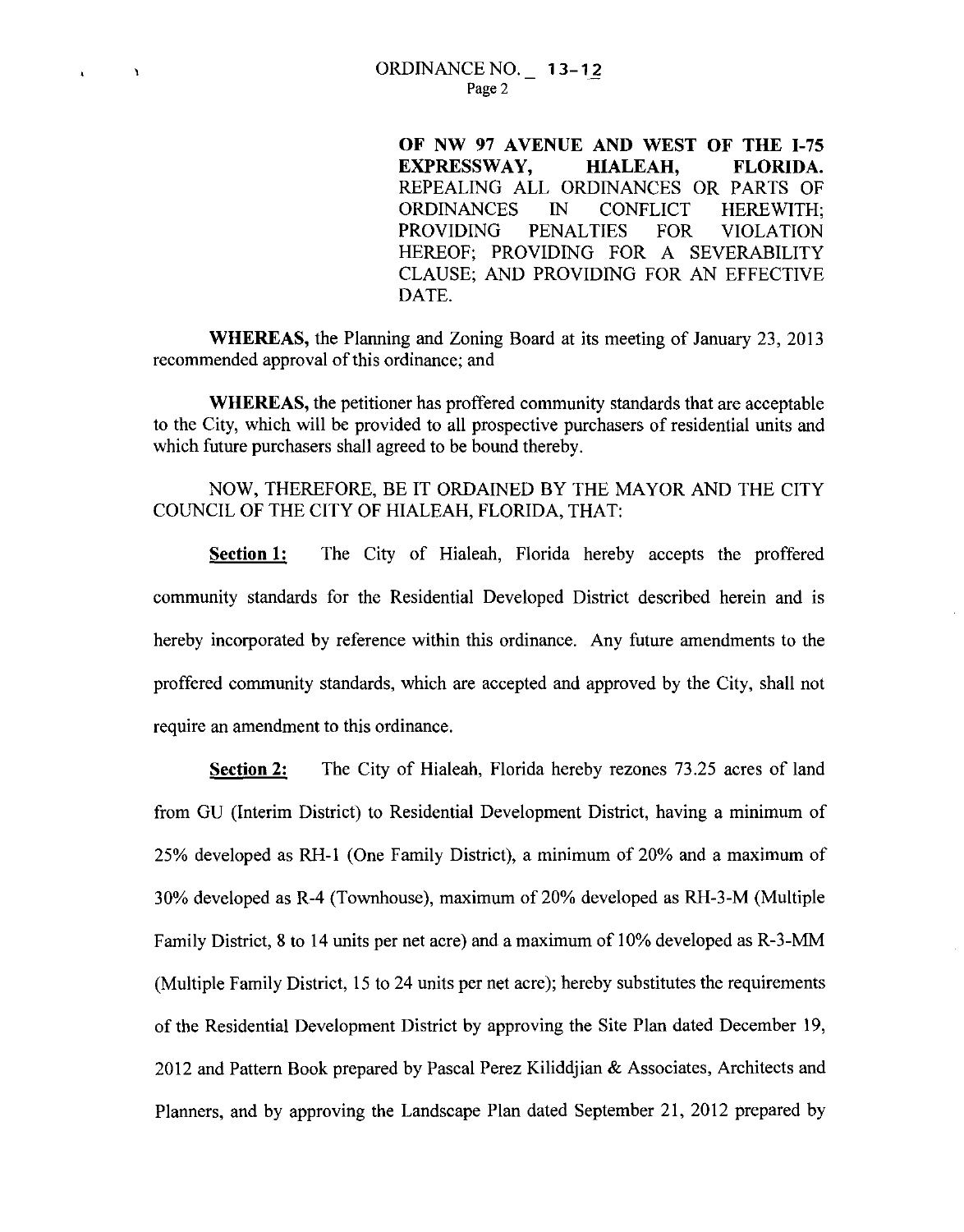$\mathbf{I}$ 

**OF NW 97 A VENUE AND WEST OF THE 1-75 EXPRESSWAY, HIALEAH, FLORIDA.**  REPEALING ALL ORDINANCES OR PARTS OF ORDINANCES IN CONFLICT HEREWITH; PROVIDING PENALTIES FOR VIOLATION HEREOF; PROVIDING FOR A SEVERABILITY CLAUSE; AND PROVIDING FOR AN EFFECTIVE DATE.

**WHEREAS,** the Planning and Zoning Board at its meeting of January 23, 2013 recommended approval of this ordinance; and

**WHEREAS,** the petitioner has proffered community standards that are acceptable to the City, which will be provided to all prospective purchasers of residential units and which future purchasers shall agreed to be bound thereby.

# NOW, THEREFORE, BE IT ORDAINED BY THE MAYOR AND THE CITY COUNCIL OF THE CITY OF HIALEAH, FLORIDA, THAT:

**Section 1:** The City of Hialeah, Florida hereby accepts the proffered community standards for the Residential Developed District described herein and is hereby incorporated by reference within this ordinance. Any future amendments to the proffered community standards, which are accepted and approved by the City, shall not require an amendment to this ordinance.

**Section 2:** The City of Hialeah, Florida hereby rezones 73.25 acres of land from GU (Interim District) to Residential Development District, having a minimum of 25% developed as RH-1 (One Family District), a minimum of 20% and a maximum of 30% developed as R-4 (Townhouse), maximum of 20% developed as RH-3-M (Multiple Family District, 8 to 14 units per net acre) and a maximum of 10% developed as R-3-MM (Multiple Family District, 15 to 24 units per net acre); hereby substitutes the requirements of the Residential Development District by approving the Site Plan dated December 19, 2012 and Pattern Book prepared by Pascal Perez Kiliddjian & Associates, Architects and Planners, and by approving the Landscape Plan dated September 21, 2012 prepared by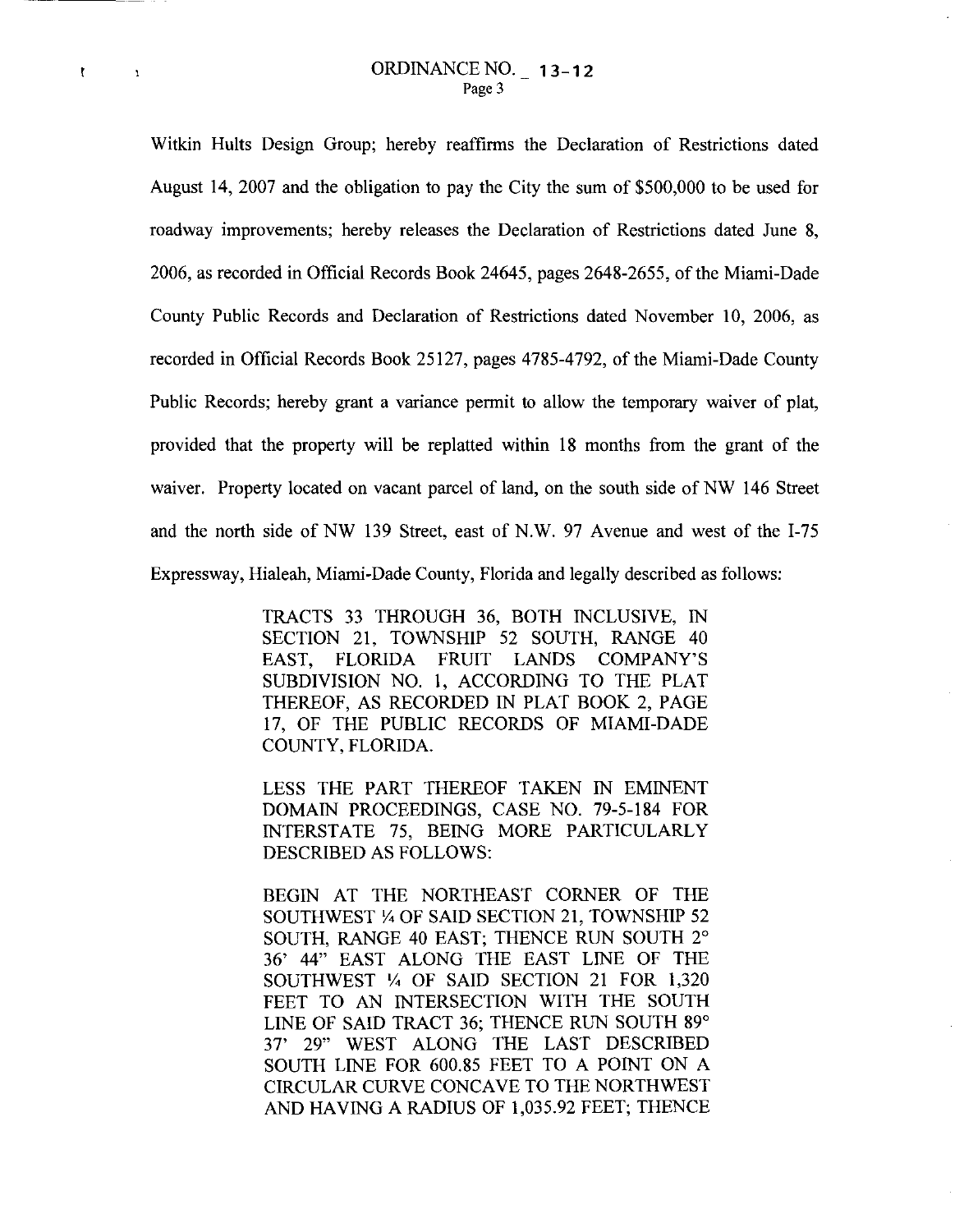$\mathfrak{k}$ 

 $\mathbf{r}$ 

Witkin Hults Design Group; hereby reaffirms the Declaration of Restrictions dated August 14, 2007 and the obligation to pay the City the sum of \$500,000 to be used for roadway improvements; hereby releases the Declaration of Restrictions dated June 8, 2006, as recorded in Official Records Book 24645, pages 2648-2655, of the Miami-Dade County Public Records and Declaration of Restrictions dated November 10, 2006, as recorded in Official Records Book 25127, pages 4785-4792, of the Miami-Dade County Public Records; hereby grant a variance permit to allow the temporary waiver of plat, provided that the property will be replatted within 18 months from the grant of the waiver. Property located on vacant parcel of land, on the south side of NW 146 Street and the north side of NW 139 Street, east of N.W. 97 Avenue and west of the I-75 Expressway, Hialeah, Miami-Dade County, Florida and legally described as follows:

> TRACTS 33 THROUGH 36, BOTH INCLUSIVE, IN SECTION 21, TOWNSHIP 52 SOUTH, RANGE 40 EAST, FLORIDA FRUIT LANDS COMPANY'S SUBDIVISION NO. I, ACCORDING TO THE PLAT THEREOF, AS RECORDED IN PLAT BOOK 2, PAGE 17, OF THE PUBLIC RECORDS OF MIAMI-DADE COUNTY, FLORIDA.

> LESS THE PART THEREOF TAKEN IN EMINENT DOMAIN PROCEEDINGS, CASE NO. 79-5-184 FOR INTERSTATE 75, BEING MORE PARTICULARLY DESCRIBED AS FOLLOWS:

BEGIN AT THE NORTHEAST CORNER OF THE SOUTHWEST *Y.* OF SAID SECTION 21, TOWNSHIP 52 SOUTH, RANGE 40 EAST; THENCE RUN SOUTH 2° 36' 44" EAST ALONG THE EAST LINE OF THE SOUTHWEST *Y.* OF SAID SECTION 21 FOR 1,320 FEET TO AN INTERSECTION WITH THE SOUTH LINE OF SAID TRACT 36; THENCE RUN SOUTH 89° 37' 29" WEST ALONG THE LAST DESCRIBED SOUTH LINE FOR 600.85 FEET TO A POINT ON A CIRCULAR CURVE CONCAVE TO THE NORTHWEST AND HAVING A RADIUS OF 1,035.92 FEET; THENCE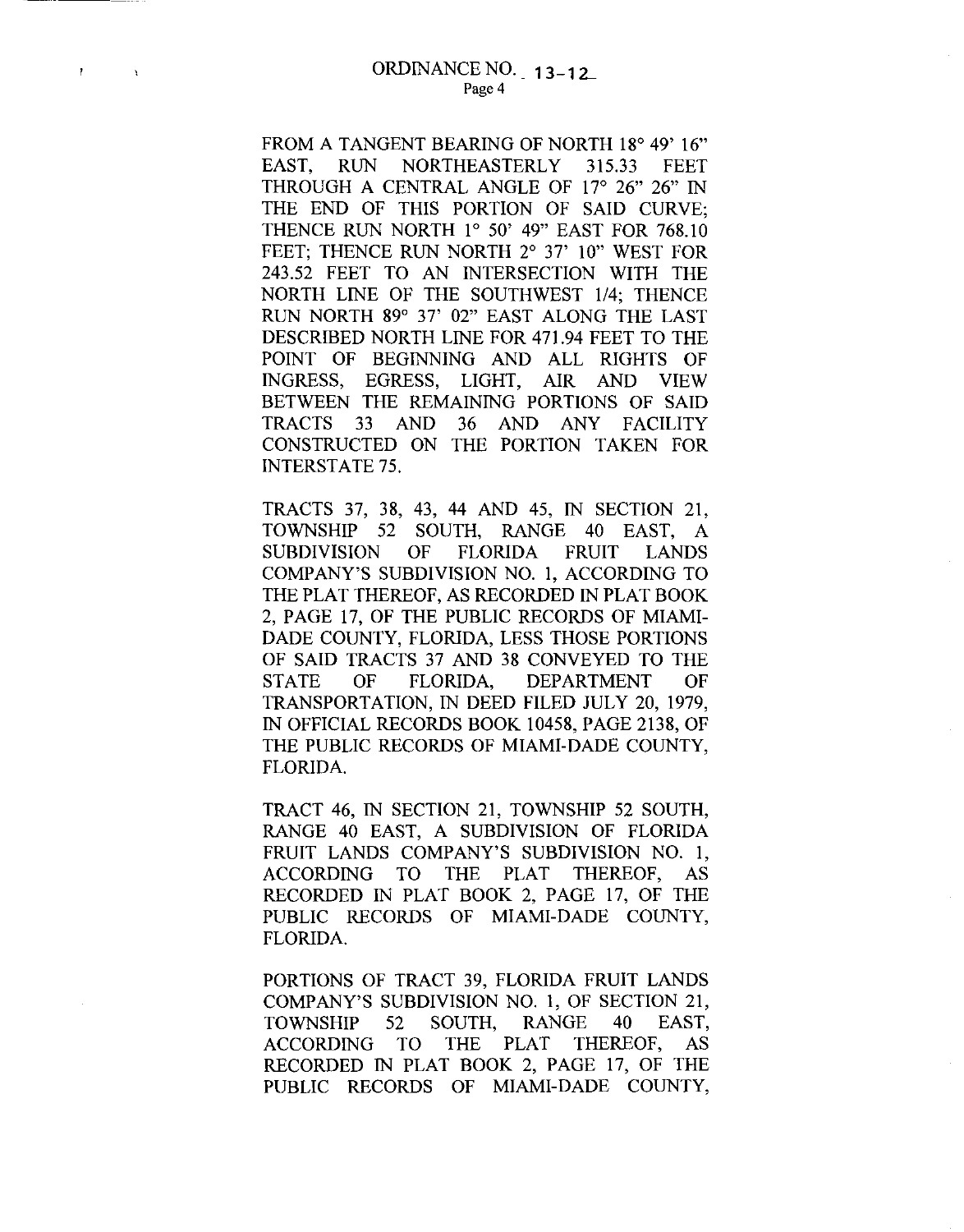ł

 $\Lambda$ 

FROM A TANGENT BEARING OF NORTH 18° 49' 16" EAST, RUN NORTHEASTERLY 315.33 FEET THROUGH A CENTRAL ANGLE OF 17° 26" 26" IN THE END OF THIS PORTION OF SAID CURVE; THENCE RUN NORTH 1° 50' 49" EAST FOR 768.10 FEET; THENCE RUN NORTH 2° 37' 10" WEST FOR 243.52 FEET TO AN INTERSECTION WITH THE NORTH LINE OF THE SOUTHWEST 114; THENCE RUN NORTH 89° 37' 02" EAST ALONG THE LAST DESCRIBED NORTH LINE FOR 471.94 FEET TO THE POINT OF BEGINNING AND ALL RIGHTS OF INGRESS, EGRESS, LIGHT, AIR AND VIEW BETWEEN THE REMAINING PORTIONS OF SAID TRACTS 33 AND 36 AND ANY FACILITY CONSTRUCTED ON THE PORTION TAKEN FOR INTERSTATE 75.

TRACTS 37, 38, 43, 44 AND 45, IN SECTION 21, TOWNSHIP 52 SOUTH, RANGE 40 EAST, A SUBDIVISION OF FLORIDA FRUIT LANDS COMPANY'S SUBDIVISION NO. 1, ACCORDING TO THE PLAT THEREOF, AS RECORDED IN PLAT BOOK 2, PAGE 17, OF THE PUBLIC RECORDS OF MIAMI-DADE COUNTY, FLORIDA, LESS THOSE PORTIONS OF SAID TRACTS 37 AND 38 CONVEYED TO THE STATE OF FLORIDA, DEPARTMENT OF TRANSPORTATION, IN DEED FILED JULY 20, 1979, IN OFFICIAL RECORDS BOOK 10458, PAGE 2138, OF THE PUBLIC RECORDS OF MIAMI-DADE COUNTY, FLORIDA.

TRACT 46, IN SECTION 21, TOWNSHIP 52 SOUTH, RANGE 40 EAST, A SUBDIVISION OF FLORIDA FRUIT LANDS COMPANY'S SUBDIVISION NO. 1, ACCORDING TO THE PLAT THEREOF, AS RECORDED IN PLAT BOOK 2, PAGE 17, OF THE PUBLIC RECORDS OF MIAMI-DADE COUNTY, FLORIDA.

PORTIONS OF TRACT 39, FLORIDA FRUIT LANDS COMPANY'S SUBDIVISION NO. 1, OF SECTION 21, TOWNSHIP 52 SOUTH, RANGE 40 EAST, ACCORDING TO THE PLAT THEREOF, AS RECORDED IN PLAT BOOK 2, PAGE 17, OF THE PUBLIC RECORDS OF MIAMI-DADE COUNTY,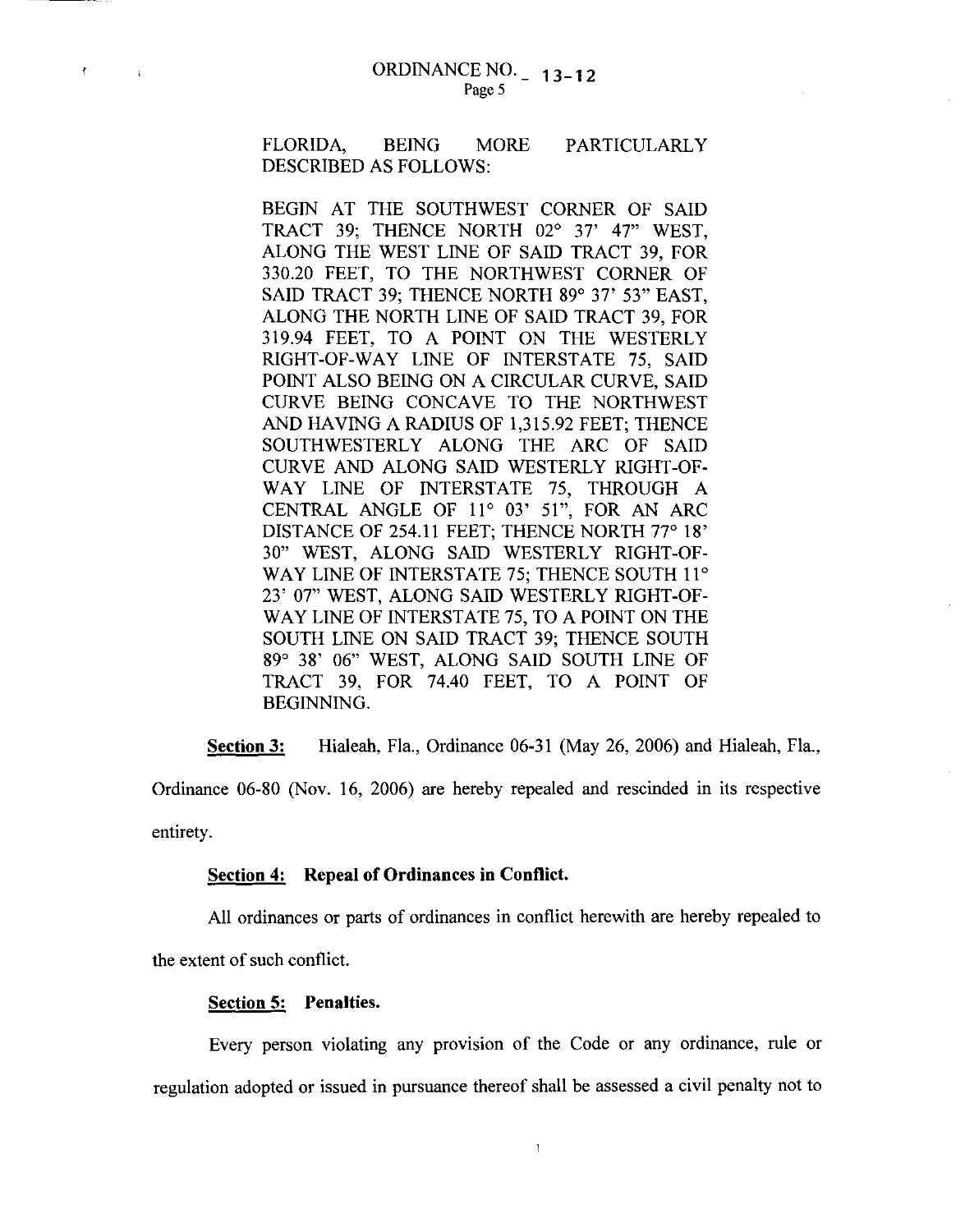FLORIDA, BEING MORE PARTICULARLY DESCRIBED AS FOLLOWS:

BEGIN AT THE SOUTHWEST CORNER OF SAID TRACT 39; THENCE NORTH 02° 37' 47" WEST, ALONG THE WEST LINE OF SAID TRACT 39, FOR 330.20 FEET, TO THE NORTHWEST CORNER OF SAID TRACT 39; THENCE NORTH 89° 37' 53" EAST, ALONG THE NORTH LINE OF SAID TRACT 39, FOR 319.94 FEET, TO A POINT ON THE WESTERLY RIGHT-OF-WAY LINE OF INTERSTATE 75, SAID POINT ALSO BEING ON A CIRCULAR CURVE, SAID CURVE BEING CONCAVE TO THE NORTHWEST AND HAVING A RADIUS OF 1,315.92 FEET; THENCE SOUTHWESTERLY ALONG THE ARC OF SAID CURVE AND ALONG SAID WESTERLY RIGHT-OF-WAY LINE OF INTERSTATE 75, THROUGH A CENTRAL ANGLE OF 11° 03' 51", FOR AN ARC DISTANCE OF 254.11 FEET; THENCE NORTH 77° 18' 30" WEST, ALONG SAID WESTERLY RIGHT-OF-WAY LINE OF INTERSTATE 75; THENCE SOUTH 11° 23' 07" WEST, ALONG SAID WESTERLY RIGHT-OF-WAY LINE OF INTERSTATE 75, TO A POINT ON THE SOUTH LINE ON SAID TRACT 39; THENCE SOUTH 89° 38' 06" WEST, ALONG SAID SOUTH LINE OF TRACT 39, FOR 74.40 FEET, TO A POINT OF BEGINNING.

**Section 3:** Hialeah, Fla., Ordinance 06-31 (May 26, 2006) and Hialeah, Fla.,

Ordinance 06-80 (Nov. 16, 2006) are hereby repealed and rescinded in its respective entirety.

#### **Section 4: Repeal of Ordinances in Conflict.**

All ordinances or parts of ordinances in conflict herewith are hereby repealed to

the extent of such conflict.

 $\mathbf{f}$ 

 $\mathcal{A}$ 

#### **Section 5: Penalties.**

Every person violating any provision of the Code or any ordinance, rule or regulation adopted or issued in pursuance thereof shall be assessed a civil penalty not to

ť